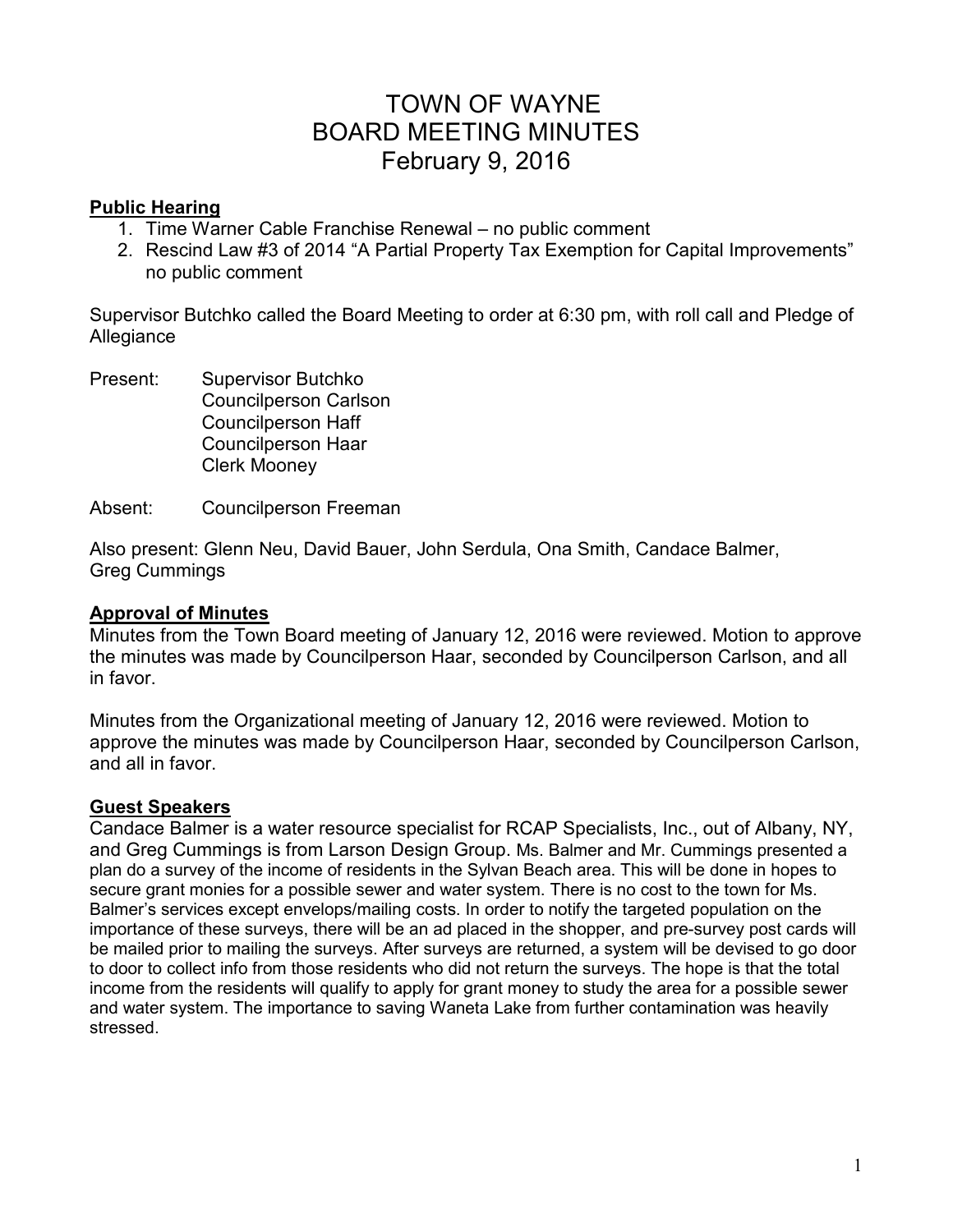# TOWN OF WAYNE BOARD MEETING MINUTES February 9, 2016

### **Public Hearing**

- 1. Time Warner Cable Franchise Renewal no public comment
- 2. Rescind Law #3 of 2014 "A Partial Property Tax Exemption for Capital Improvements" no public comment

Supervisor Butchko called the Board Meeting to order at 6:30 pm, with roll call and Pledge of Allegiance

- Present: Supervisor Butchko Councilperson Carlson Councilperson Haff Councilperson Haar Clerk Mooney
- Absent: Councilperson Freeman

Also present: Glenn Neu, David Bauer, John Serdula, Ona Smith, Candace Balmer, Greg Cummings

## **Approval of Minutes**

Minutes from the Town Board meeting of January 12, 2016 were reviewed. Motion to approve the minutes was made by Councilperson Haar, seconded by Councilperson Carlson, and all in favor.

Minutes from the Organizational meeting of January 12, 2016 were reviewed. Motion to approve the minutes was made by Councilperson Haar, seconded by Councilperson Carlson, and all in favor.

# **Guest Speakers**

Candace Balmer is a water resource specialist for RCAP Specialists, Inc., out of Albany, NY, and Greg Cummings is from Larson Design Group. Ms. Balmer and Mr. Cummings presented a plan do a survey of the income of residents in the Sylvan Beach area. This will be done in hopes to secure grant monies for a possible sewer and water system. There is no cost to the town for Ms. Balmer's services except envelops/mailing costs. In order to notify the targeted population on the importance of these surveys, there will be an ad placed in the shopper, and pre-survey post cards will be mailed prior to mailing the surveys. After surveys are returned, a system will be devised to go door to door to collect info from those residents who did not return the surveys. The hope is that the total income from the residents will qualify to apply for grant money to study the area for a possible sewer and water system. The importance to saving Waneta Lake from further contamination was heavily stressed.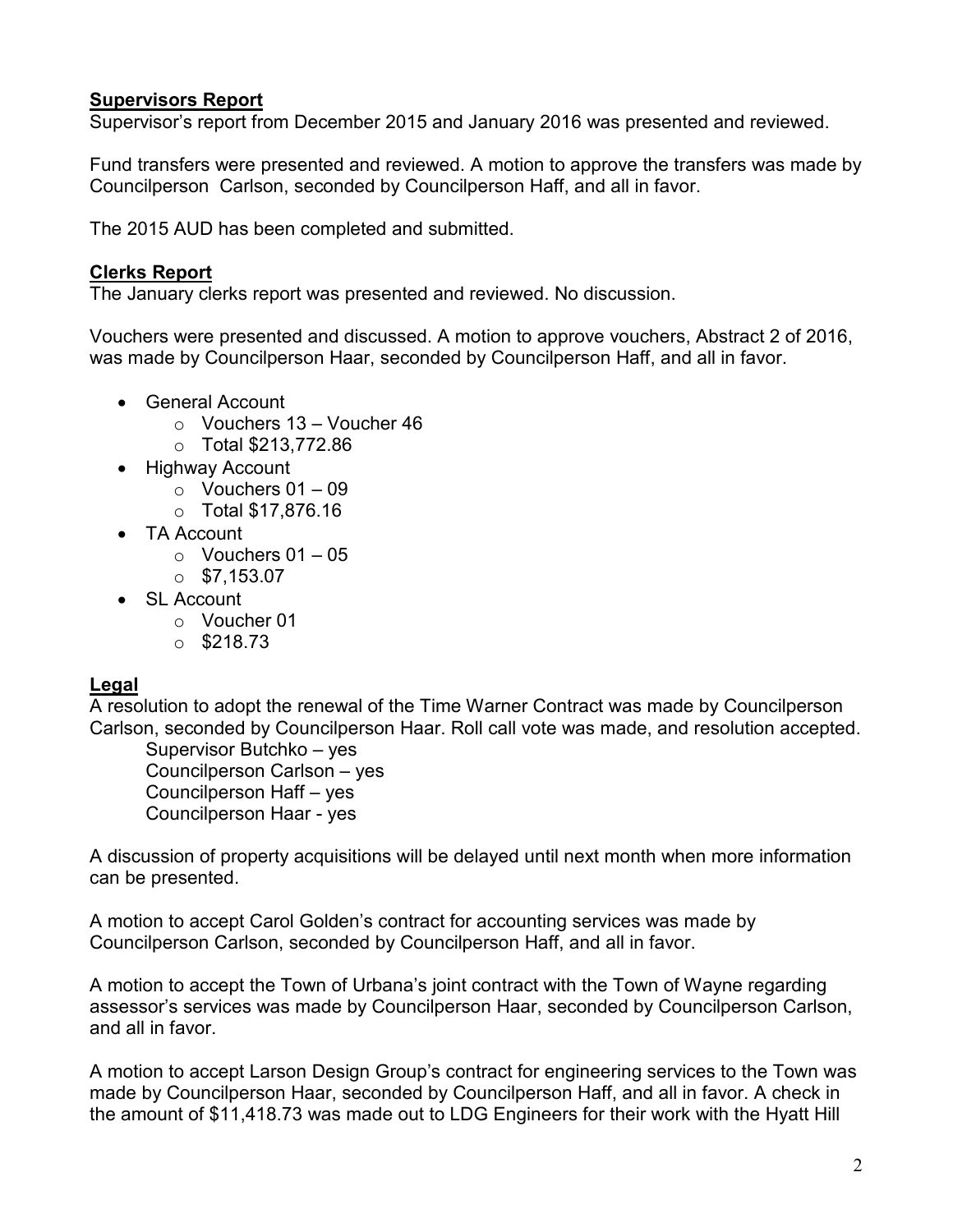# **Supervisors Report**

Supervisor's report from December 2015 and January 2016 was presented and reviewed.

Fund transfers were presented and reviewed. A motion to approve the transfers was made by Councilperson Carlson, seconded by Councilperson Haff, and all in favor.

The 2015 AUD has been completed and submitted.

# **Clerks Report**

The January clerks report was presented and reviewed. No discussion.

Vouchers were presented and discussed. A motion to approve vouchers, Abstract 2 of 2016, was made by Councilperson Haar, seconded by Councilperson Haff, and all in favor.

- General Account
	- $\circ$  Vouchers 13 Voucher 46
	- o Total \$213,772.86
- Highway Account
	- $\circ$  Vouchers 01 09
	- o Total \$17,876.16
- TA Account
	- $\circ$  Vouchers 01 05
	- $\circ$  \$7.153.07
- SL Account
	- o Voucher 01
	- $\circ$  \$218.73

# **Legal**

A resolution to adopt the renewal of the Time Warner Contract was made by Councilperson Carlson, seconded by Councilperson Haar. Roll call vote was made, and resolution accepted.

 Supervisor Butchko – yes Councilperson Carlson – yes Councilperson Haff – yes Councilperson Haar - yes

A discussion of property acquisitions will be delayed until next month when more information can be presented.

A motion to accept Carol Golden's contract for accounting services was made by Councilperson Carlson, seconded by Councilperson Haff, and all in favor.

A motion to accept the Town of Urbana's joint contract with the Town of Wayne regarding assessor's services was made by Councilperson Haar, seconded by Councilperson Carlson, and all in favor.

A motion to accept Larson Design Group's contract for engineering services to the Town was made by Councilperson Haar, seconded by Councilperson Haff, and all in favor. A check in the amount of \$11,418.73 was made out to LDG Engineers for their work with the Hyatt Hill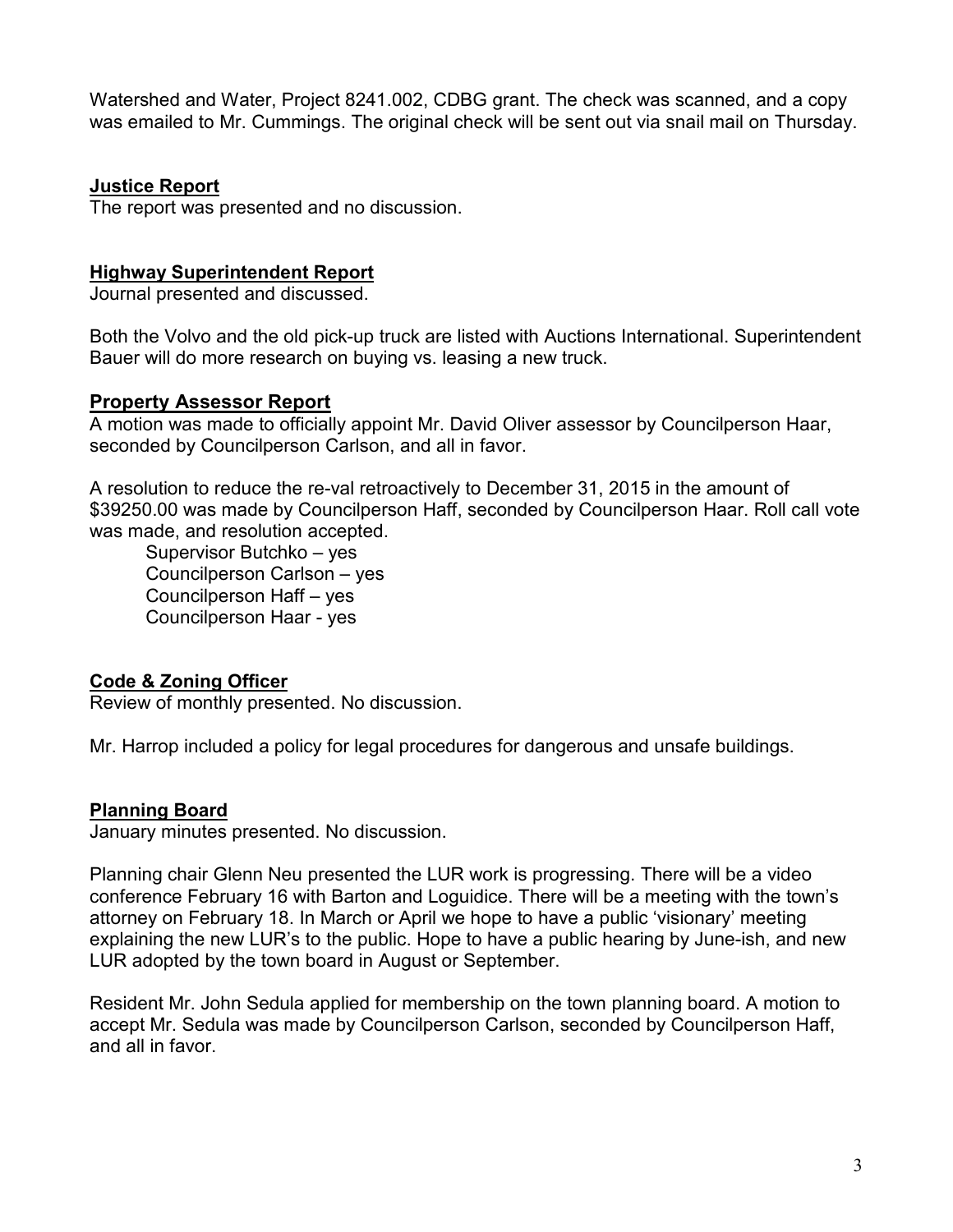Watershed and Water, Project 8241.002, CDBG grant. The check was scanned, and a copy was emailed to Mr. Cummings. The original check will be sent out via snail mail on Thursday.

### **Justice Report**

The report was presented and no discussion.

#### **Highway Superintendent Report**

Journal presented and discussed.

Both the Volvo and the old pick-up truck are listed with Auctions International. Superintendent Bauer will do more research on buying vs. leasing a new truck.

### **Property Assessor Report**

A motion was made to officially appoint Mr. David Oliver assessor by Councilperson Haar, seconded by Councilperson Carlson, and all in favor.

A resolution to reduce the re-val retroactively to December 31, 2015 in the amount of \$39250.00 was made by Councilperson Haff, seconded by Councilperson Haar. Roll call vote was made, and resolution accepted.

 Supervisor Butchko – yes Councilperson Carlson – yes Councilperson Haff – yes Councilperson Haar - yes

# **Code & Zoning Officer**

Review of monthly presented. No discussion.

Mr. Harrop included a policy for legal procedures for dangerous and unsafe buildings.

#### **Planning Board**

January minutes presented. No discussion.

Planning chair Glenn Neu presented the LUR work is progressing. There will be a video conference February 16 with Barton and Loguidice. There will be a meeting with the town's attorney on February 18. In March or April we hope to have a public 'visionary' meeting explaining the new LUR's to the public. Hope to have a public hearing by June-ish, and new LUR adopted by the town board in August or September.

Resident Mr. John Sedula applied for membership on the town planning board. A motion to accept Mr. Sedula was made by Councilperson Carlson, seconded by Councilperson Haff, and all in favor.